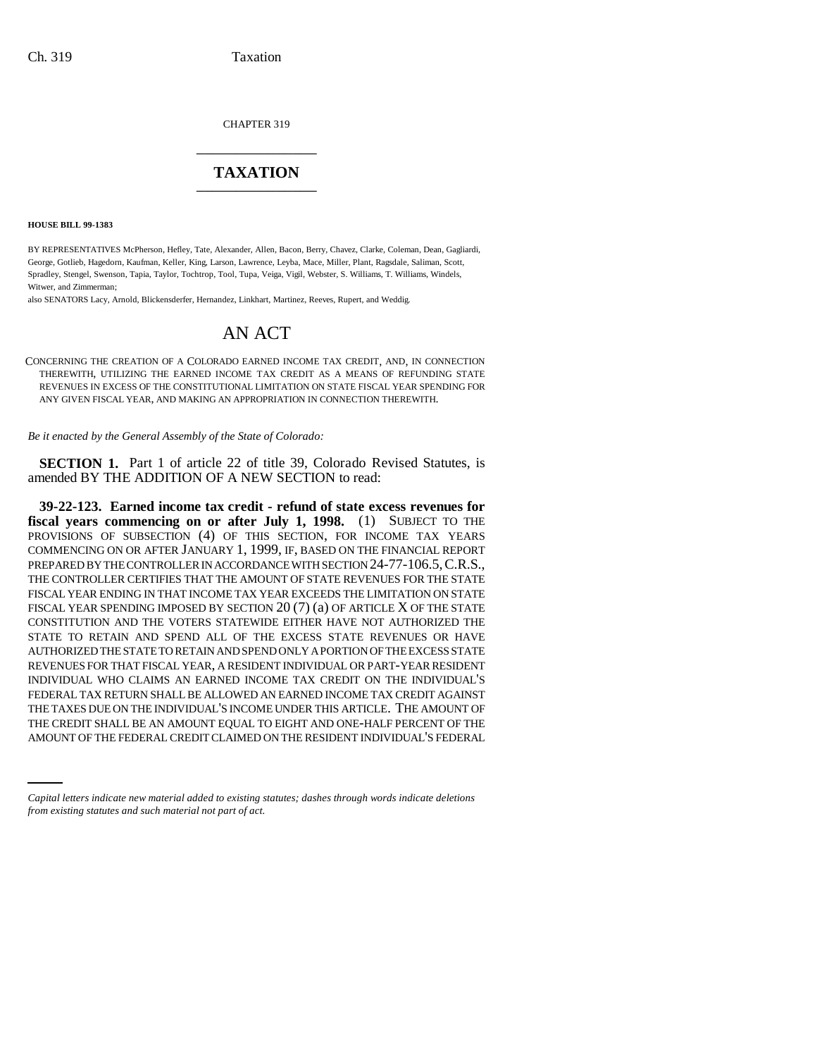CHAPTER 319 \_\_\_\_\_\_\_\_\_\_\_\_\_\_\_

# **TAXATION** \_\_\_\_\_\_\_\_\_\_\_\_\_\_\_

**HOUSE BILL 99-1383** 

BY REPRESENTATIVES McPherson, Hefley, Tate, Alexander, Allen, Bacon, Berry, Chavez, Clarke, Coleman, Dean, Gagliardi, George, Gotlieb, Hagedorn, Kaufman, Keller, King, Larson, Lawrence, Leyba, Mace, Miller, Plant, Ragsdale, Saliman, Scott, Spradley, Stengel, Swenson, Tapia, Taylor, Tochtrop, Tool, Tupa, Veiga, Vigil, Webster, S. Williams, T. Williams, Windels, Witwer, and Zimmerman:

also SENATORS Lacy, Arnold, Blickensderfer, Hernandez, Linkhart, Martinez, Reeves, Rupert, and Weddig.

# AN ACT

CONCERNING THE CREATION OF A COLORADO EARNED INCOME TAX CREDIT, AND, IN CONNECTION THEREWITH, UTILIZING THE EARNED INCOME TAX CREDIT AS A MEANS OF REFUNDING STATE REVENUES IN EXCESS OF THE CONSTITUTIONAL LIMITATION ON STATE FISCAL YEAR SPENDING FOR ANY GIVEN FISCAL YEAR, AND MAKING AN APPROPRIATION IN CONNECTION THEREWITH.

*Be it enacted by the General Assembly of the State of Colorado:*

**SECTION 1.** Part 1 of article 22 of title 39, Colorado Revised Statutes, is amended BY THE ADDITION OF A NEW SECTION to read:

THE TAXES DUE ON THE INDIVIDUAL'S INCOME UNDER THIS ARTICLE. I HE AMOUNT OF<br>THE CREDIT SHALL BE AN AMOUNT EQUAL TO EIGHT AND ONE-HALF PERCENT OF THE **39-22-123. Earned income tax credit - refund of state excess revenues for fiscal years commencing on or after July 1, 1998.** (1) SUBJECT TO THE PROVISIONS OF SUBSECTION (4) OF THIS SECTION, FOR INCOME TAX YEARS COMMENCING ON OR AFTER JANUARY 1, 1999, IF, BASED ON THE FINANCIAL REPORT PREPARED BY THE CONTROLLER IN ACCORDANCE WITH SECTION 24-77-106.5,C.R.S., THE CONTROLLER CERTIFIES THAT THE AMOUNT OF STATE REVENUES FOR THE STATE FISCAL YEAR ENDING IN THAT INCOME TAX YEAR EXCEEDS THE LIMITATION ON STATE FISCAL YEAR SPENDING IMPOSED BY SECTION 20 (7) (a) OF ARTICLE X OF THE STATE CONSTITUTION AND THE VOTERS STATEWIDE EITHER HAVE NOT AUTHORIZED THE STATE TO RETAIN AND SPEND ALL OF THE EXCESS STATE REVENUES OR HAVE AUTHORIZED THE STATE TO RETAIN AND SPEND ONLY A PORTION OF THE EXCESS STATE REVENUES FOR THAT FISCAL YEAR, A RESIDENT INDIVIDUAL OR PART-YEAR RESIDENT INDIVIDUAL WHO CLAIMS AN EARNED INCOME TAX CREDIT ON THE INDIVIDUAL'S FEDERAL TAX RETURN SHALL BE ALLOWED AN EARNED INCOME TAX CREDIT AGAINST THE TAXES DUE ON THE INDIVIDUAL'S INCOME UNDER THIS ARTICLE. THE AMOUNT OF AMOUNT OF THE FEDERAL CREDIT CLAIMED ON THE RESIDENT INDIVIDUAL'S FEDERAL

*Capital letters indicate new material added to existing statutes; dashes through words indicate deletions from existing statutes and such material not part of act.*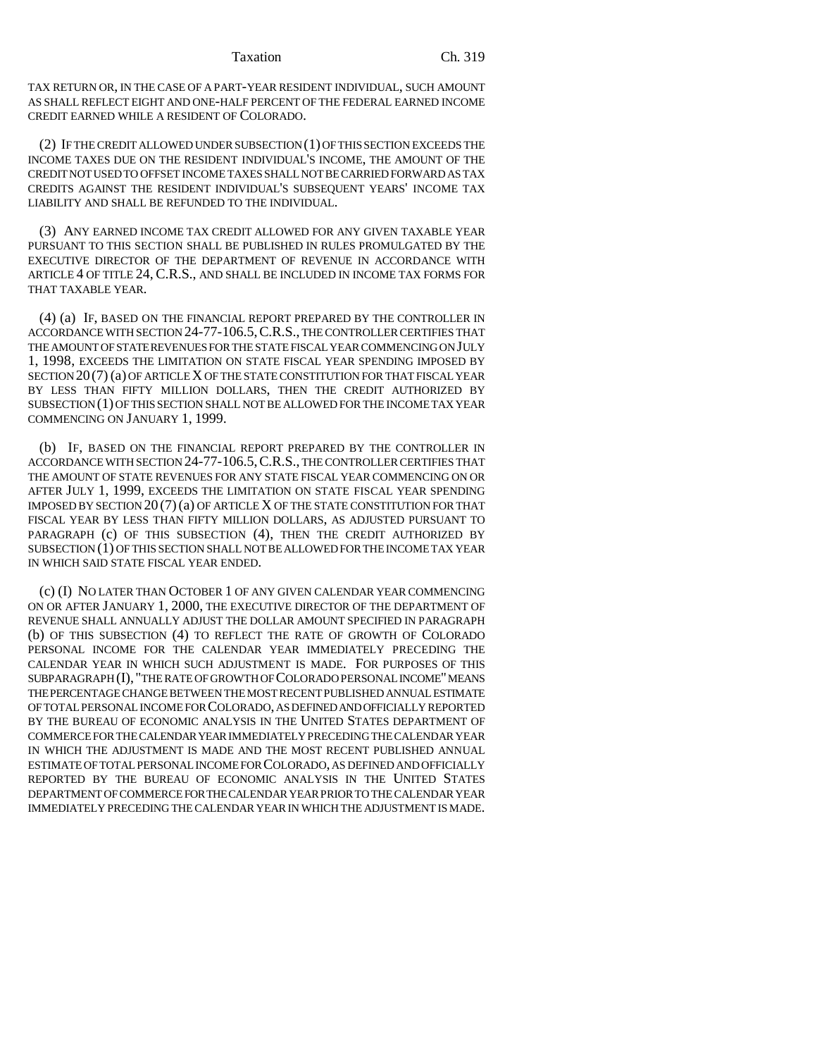TAX RETURN OR, IN THE CASE OF A PART-YEAR RESIDENT INDIVIDUAL, SUCH AMOUNT AS SHALL REFLECT EIGHT AND ONE-HALF PERCENT OF THE FEDERAL EARNED INCOME CREDIT EARNED WHILE A RESIDENT OF COLORADO.

(2) IF THE CREDIT ALLOWED UNDER SUBSECTION (1) OF THIS SECTION EXCEEDS THE INCOME TAXES DUE ON THE RESIDENT INDIVIDUAL'S INCOME, THE AMOUNT OF THE CREDIT NOT USED TO OFFSET INCOME TAXES SHALL NOT BE CARRIED FORWARD AS TAX CREDITS AGAINST THE RESIDENT INDIVIDUAL'S SUBSEQUENT YEARS' INCOME TAX LIABILITY AND SHALL BE REFUNDED TO THE INDIVIDUAL.

(3) ANY EARNED INCOME TAX CREDIT ALLOWED FOR ANY GIVEN TAXABLE YEAR PURSUANT TO THIS SECTION SHALL BE PUBLISHED IN RULES PROMULGATED BY THE EXECUTIVE DIRECTOR OF THE DEPARTMENT OF REVENUE IN ACCORDANCE WITH ARTICLE 4 OF TITLE 24, C.R.S., AND SHALL BE INCLUDED IN INCOME TAX FORMS FOR THAT TAXABLE YEAR.

(4) (a) IF, BASED ON THE FINANCIAL REPORT PREPARED BY THE CONTROLLER IN ACCORDANCE WITH SECTION 24-77-106.5,C.R.S., THE CONTROLLER CERTIFIES THAT THE AMOUNT OF STATE REVENUES FOR THE STATE FISCAL YEAR COMMENCING ON JULY 1, 1998, EXCEEDS THE LIMITATION ON STATE FISCAL YEAR SPENDING IMPOSED BY SECTION 20(7) (a) OF ARTICLE X OF THE STATE CONSTITUTION FOR THAT FISCAL YEAR BY LESS THAN FIFTY MILLION DOLLARS, THEN THE CREDIT AUTHORIZED BY SUBSECTION (1) OF THIS SECTION SHALL NOT BE ALLOWED FOR THE INCOME TAX YEAR COMMENCING ON JANUARY 1, 1999.

(b) IF, BASED ON THE FINANCIAL REPORT PREPARED BY THE CONTROLLER IN ACCORDANCE WITH SECTION 24-77-106.5,C.R.S., THE CONTROLLER CERTIFIES THAT THE AMOUNT OF STATE REVENUES FOR ANY STATE FISCAL YEAR COMMENCING ON OR AFTER JULY 1, 1999, EXCEEDS THE LIMITATION ON STATE FISCAL YEAR SPENDING IMPOSED BY SECTION  $20(7)(a)$  OF ARTICLE X OF THE STATE CONSTITUTION FOR THAT FISCAL YEAR BY LESS THAN FIFTY MILLION DOLLARS, AS ADJUSTED PURSUANT TO PARAGRAPH (c) OF THIS SUBSECTION (4), THEN THE CREDIT AUTHORIZED BY SUBSECTION (1) OF THIS SECTION SHALL NOT BE ALLOWED FOR THE INCOME TAX YEAR IN WHICH SAID STATE FISCAL YEAR ENDED.

(c) (I) NO LATER THAN OCTOBER 1 OF ANY GIVEN CALENDAR YEAR COMMENCING ON OR AFTER JANUARY 1, 2000, THE EXECUTIVE DIRECTOR OF THE DEPARTMENT OF REVENUE SHALL ANNUALLY ADJUST THE DOLLAR AMOUNT SPECIFIED IN PARAGRAPH (b) OF THIS SUBSECTION (4) TO REFLECT THE RATE OF GROWTH OF COLORADO PERSONAL INCOME FOR THE CALENDAR YEAR IMMEDIATELY PRECEDING THE CALENDAR YEAR IN WHICH SUCH ADJUSTMENT IS MADE. FOR PURPOSES OF THIS SUBPARAGRAPH (I), "THE RATE OF GROWTH OF COLORADO PERSONAL INCOME" MEANS THE PERCENTAGE CHANGE BETWEEN THE MOST RECENT PUBLISHED ANNUAL ESTIMATE OF TOTAL PERSONAL INCOME FOR COLORADO, AS DEFINED AND OFFICIALLY REPORTED BY THE BUREAU OF ECONOMIC ANALYSIS IN THE UNITED STATES DEPARTMENT OF COMMERCE FOR THE CALENDAR YEAR IMMEDIATELY PRECEDING THE CALENDAR YEAR IN WHICH THE ADJUSTMENT IS MADE AND THE MOST RECENT PUBLISHED ANNUAL ESTIMATE OF TOTAL PERSONAL INCOME FOR COLORADO, AS DEFINED AND OFFICIALLY REPORTED BY THE BUREAU OF ECONOMIC ANALYSIS IN THE UNITED STATES DEPARTMENT OF COMMERCE FOR THE CALENDAR YEAR PRIOR TO THE CALENDAR YEAR IMMEDIATELY PRECEDING THE CALENDAR YEAR IN WHICH THE ADJUSTMENT IS MADE.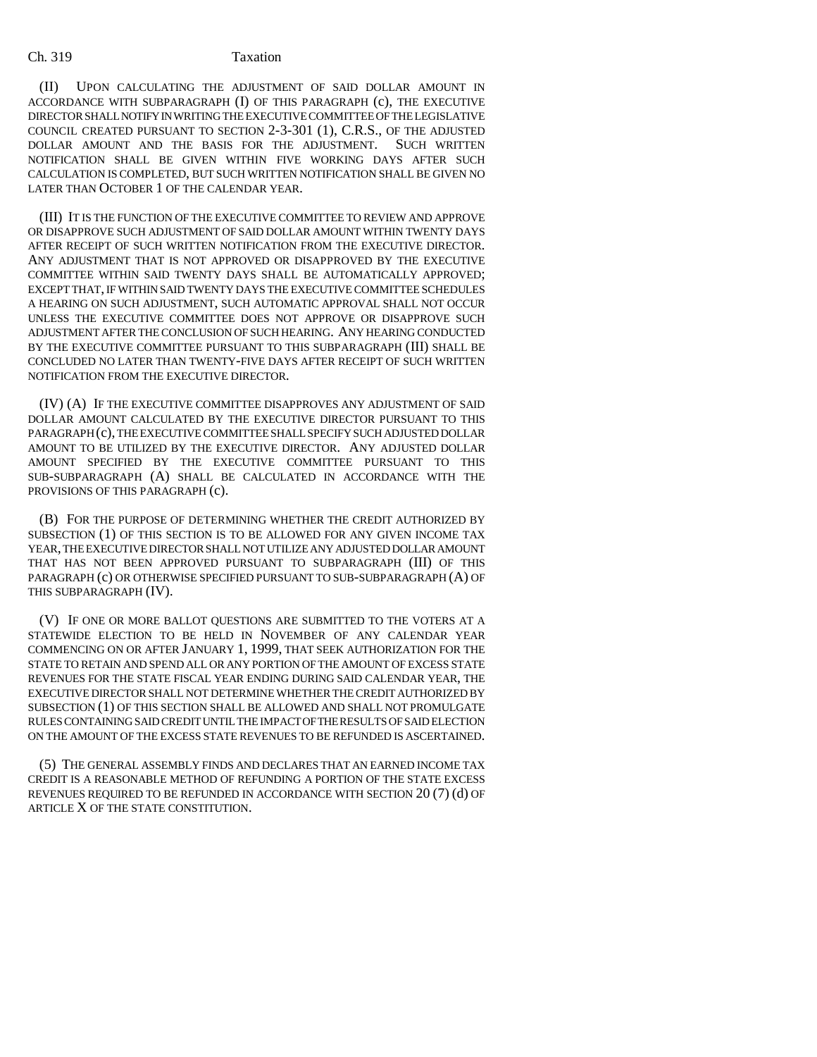### Ch. 319 Taxation

(II) UPON CALCULATING THE ADJUSTMENT OF SAID DOLLAR AMOUNT IN ACCORDANCE WITH SUBPARAGRAPH (I) OF THIS PARAGRAPH (c), THE EXECUTIVE DIRECTOR SHALL NOTIFY IN WRITING THE EXECUTIVE COMMITTEE OF THE LEGISLATIVE COUNCIL CREATED PURSUANT TO SECTION 2-3-301 (1), C.R.S., OF THE ADJUSTED DOLLAR AMOUNT AND THE BASIS FOR THE ADJUSTMENT. SUCH WRITTEN NOTIFICATION SHALL BE GIVEN WITHIN FIVE WORKING DAYS AFTER SUCH CALCULATION IS COMPLETED, BUT SUCH WRITTEN NOTIFICATION SHALL BE GIVEN NO LATER THAN OCTOBER 1 OF THE CALENDAR YEAR.

(III) IT IS THE FUNCTION OF THE EXECUTIVE COMMITTEE TO REVIEW AND APPROVE OR DISAPPROVE SUCH ADJUSTMENT OF SAID DOLLAR AMOUNT WITHIN TWENTY DAYS AFTER RECEIPT OF SUCH WRITTEN NOTIFICATION FROM THE EXECUTIVE DIRECTOR. ANY ADJUSTMENT THAT IS NOT APPROVED OR DISAPPROVED BY THE EXECUTIVE COMMITTEE WITHIN SAID TWENTY DAYS SHALL BE AUTOMATICALLY APPROVED; EXCEPT THAT, IF WITHIN SAID TWENTY DAYS THE EXECUTIVE COMMITTEE SCHEDULES A HEARING ON SUCH ADJUSTMENT, SUCH AUTOMATIC APPROVAL SHALL NOT OCCUR UNLESS THE EXECUTIVE COMMITTEE DOES NOT APPROVE OR DISAPPROVE SUCH ADJUSTMENT AFTER THE CONCLUSION OF SUCH HEARING. ANY HEARING CONDUCTED BY THE EXECUTIVE COMMITTEE PURSUANT TO THIS SUBPARAGRAPH (III) SHALL BE CONCLUDED NO LATER THAN TWENTY-FIVE DAYS AFTER RECEIPT OF SUCH WRITTEN NOTIFICATION FROM THE EXECUTIVE DIRECTOR.

(IV) (A) IF THE EXECUTIVE COMMITTEE DISAPPROVES ANY ADJUSTMENT OF SAID DOLLAR AMOUNT CALCULATED BY THE EXECUTIVE DIRECTOR PURSUANT TO THIS PARAGRAPH (c), THE EXECUTIVE COMMITTEE SHALL SPECIFY SUCH ADJUSTED DOLLAR AMOUNT TO BE UTILIZED BY THE EXECUTIVE DIRECTOR. ANY ADJUSTED DOLLAR AMOUNT SPECIFIED BY THE EXECUTIVE COMMITTEE PURSUANT TO THIS SUB-SUBPARAGRAPH (A) SHALL BE CALCULATED IN ACCORDANCE WITH THE PROVISIONS OF THIS PARAGRAPH (c).

(B) FOR THE PURPOSE OF DETERMINING WHETHER THE CREDIT AUTHORIZED BY SUBSECTION (1) OF THIS SECTION IS TO BE ALLOWED FOR ANY GIVEN INCOME TAX YEAR, THE EXECUTIVE DIRECTOR SHALL NOT UTILIZE ANY ADJUSTED DOLLAR AMOUNT THAT HAS NOT BEEN APPROVED PURSUANT TO SUBPARAGRAPH (III) OF THIS PARAGRAPH (c) OR OTHERWISE SPECIFIED PURSUANT TO SUB-SUBPARAGRAPH (A) OF THIS SUBPARAGRAPH (IV).

(V) IF ONE OR MORE BALLOT QUESTIONS ARE SUBMITTED TO THE VOTERS AT A STATEWIDE ELECTION TO BE HELD IN NOVEMBER OF ANY CALENDAR YEAR COMMENCING ON OR AFTER JANUARY 1, 1999, THAT SEEK AUTHORIZATION FOR THE STATE TO RETAIN AND SPEND ALL OR ANY PORTION OF THE AMOUNT OF EXCESS STATE REVENUES FOR THE STATE FISCAL YEAR ENDING DURING SAID CALENDAR YEAR, THE EXECUTIVE DIRECTOR SHALL NOT DETERMINE WHETHER THE CREDIT AUTHORIZED BY SUBSECTION (1) OF THIS SECTION SHALL BE ALLOWED AND SHALL NOT PROMULGATE RULES CONTAINING SAID CREDIT UNTIL THE IMPACT OF THE RESULTS OF SAID ELECTION ON THE AMOUNT OF THE EXCESS STATE REVENUES TO BE REFUNDED IS ASCERTAINED.

(5) THE GENERAL ASSEMBLY FINDS AND DECLARES THAT AN EARNED INCOME TAX CREDIT IS A REASONABLE METHOD OF REFUNDING A PORTION OF THE STATE EXCESS REVENUES REQUIRED TO BE REFUNDED IN ACCORDANCE WITH SECTION 20 (7) (d) OF ARTICLE X OF THE STATE CONSTITUTION.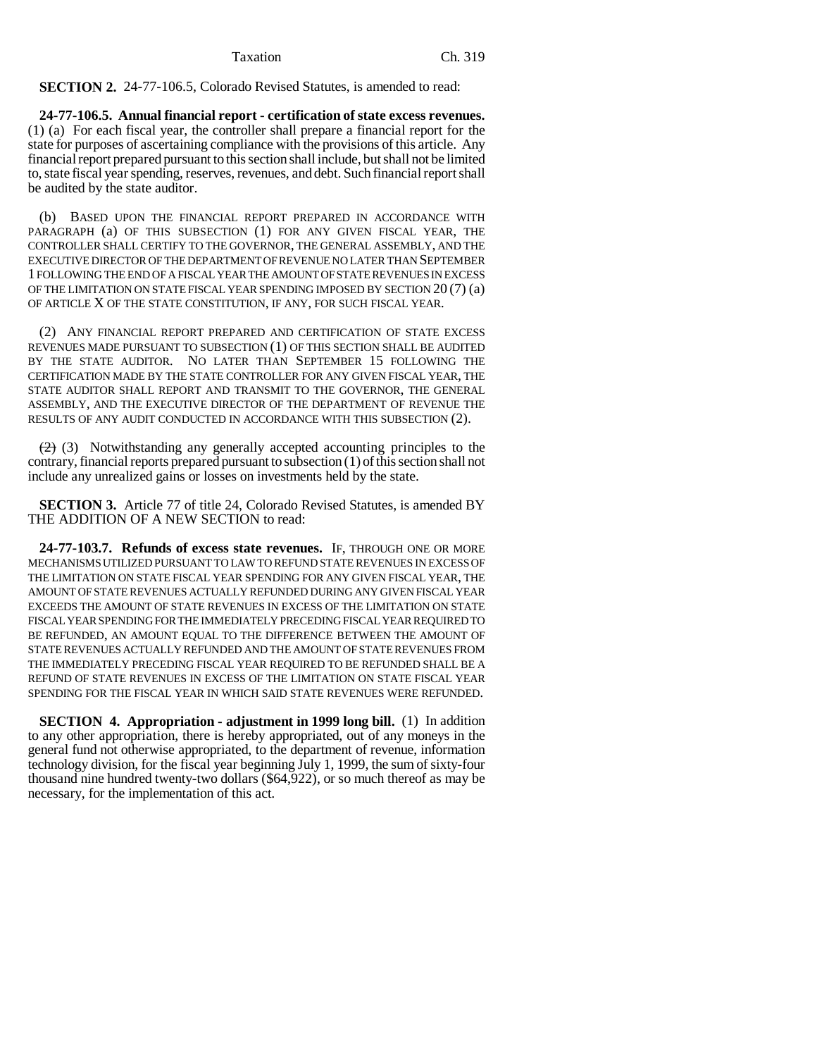**SECTION 2.** 24-77-106.5, Colorado Revised Statutes, is amended to read:

**24-77-106.5. Annual financial report - certification of state excess revenues.** (1) (a) For each fiscal year, the controller shall prepare a financial report for the state for purposes of ascertaining compliance with the provisions of this article. Any financial report prepared pursuant to this section shall include, but shall not be limited to, state fiscal year spending, reserves, revenues, and debt. Such financial report shall be audited by the state auditor.

(b) BASED UPON THE FINANCIAL REPORT PREPARED IN ACCORDANCE WITH PARAGRAPH (a) OF THIS SUBSECTION (1) FOR ANY GIVEN FISCAL YEAR, THE CONTROLLER SHALL CERTIFY TO THE GOVERNOR, THE GENERAL ASSEMBLY, AND THE EXECUTIVE DIRECTOR OF THE DEPARTMENT OF REVENUE NO LATER THAN SEPTEMBER 1 FOLLOWING THE END OF A FISCAL YEAR THE AMOUNT OF STATE REVENUES IN EXCESS OF THE LIMITATION ON STATE FISCAL YEAR SPENDING IMPOSED BY SECTION 20 (7) (a) OF ARTICLE X OF THE STATE CONSTITUTION, IF ANY, FOR SUCH FISCAL YEAR.

(2) ANY FINANCIAL REPORT PREPARED AND CERTIFICATION OF STATE EXCESS REVENUES MADE PURSUANT TO SUBSECTION (1) OF THIS SECTION SHALL BE AUDITED BY THE STATE AUDITOR. NO LATER THAN SEPTEMBER 15 FOLLOWING THE CERTIFICATION MADE BY THE STATE CONTROLLER FOR ANY GIVEN FISCAL YEAR, THE STATE AUDITOR SHALL REPORT AND TRANSMIT TO THE GOVERNOR, THE GENERAL ASSEMBLY, AND THE EXECUTIVE DIRECTOR OF THE DEPARTMENT OF REVENUE THE RESULTS OF ANY AUDIT CONDUCTED IN ACCORDANCE WITH THIS SUBSECTION (2).

 $(2)$  (3) Notwithstanding any generally accepted accounting principles to the contrary, financial reports prepared pursuant to subsection (1) of this section shall not include any unrealized gains or losses on investments held by the state.

**SECTION 3.** Article 77 of title 24, Colorado Revised Statutes, is amended BY THE ADDITION OF A NEW SECTION to read:

**24-77-103.7. Refunds of excess state revenues.** IF, THROUGH ONE OR MORE MECHANISMS UTILIZED PURSUANT TO LAW TO REFUND STATE REVENUES IN EXCESS OF THE LIMITATION ON STATE FISCAL YEAR SPENDING FOR ANY GIVEN FISCAL YEAR, THE AMOUNT OF STATE REVENUES ACTUALLY REFUNDED DURING ANY GIVEN FISCAL YEAR EXCEEDS THE AMOUNT OF STATE REVENUES IN EXCESS OF THE LIMITATION ON STATE FISCAL YEAR SPENDING FOR THE IMMEDIATELY PRECEDING FISCAL YEAR REQUIRED TO BE REFUNDED, AN AMOUNT EQUAL TO THE DIFFERENCE BETWEEN THE AMOUNT OF STATE REVENUES ACTUALLY REFUNDED AND THE AMOUNT OF STATE REVENUES FROM THE IMMEDIATELY PRECEDING FISCAL YEAR REQUIRED TO BE REFUNDED SHALL BE A REFUND OF STATE REVENUES IN EXCESS OF THE LIMITATION ON STATE FISCAL YEAR SPENDING FOR THE FISCAL YEAR IN WHICH SAID STATE REVENUES WERE REFUNDED.

**SECTION 4. Appropriation - adjustment in 1999 long bill.** (1) In addition to any other appropriation, there is hereby appropriated, out of any moneys in the general fund not otherwise appropriated, to the department of revenue, information technology division, for the fiscal year beginning July 1, 1999, the sum of sixty-four thousand nine hundred twenty-two dollars (\$64,922), or so much thereof as may be necessary, for the implementation of this act.